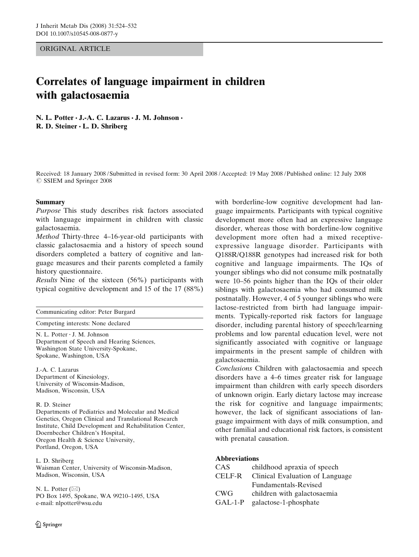#### ORIGINAL ARTICLE

# Correlates of language impairment in children with galactosaemia

N. L. Potter · J.-A. C. Lazarus · J. M. Johnson · R. D. Steiner · L. D. Shriberg

Received: 18 January 2008 /Submitted in revised form: 30 April 2008 /Accepted: 19 May 2008 /Published online: 12 July 2008  $\oslash$  SSIEM and Springer 2008

#### Summary

Purpose This study describes risk factors associated with language impairment in children with classic galactosaemia.

Method Thirty-three 4–16-year-old participants with classic galactosaemia and a history of speech sound disorders completed a battery of cognitive and language measures and their parents completed a family history questionnaire.

Results Nine of the sixteen (56%) participants with typical cognitive development and 15 of the 17 (88%)

| Communicating editor: Peter Burgard |
|-------------------------------------|
| Competing interests: None declared  |

N. L. Potter: J. M. Johnson Department of Speech and Hearing Sciences, Washington State University-Spokane, Spokane, Washington, USA

J.-A. C. Lazarus Department of Kinesiology, University of Wisconsin-Madison, Madison, Wisconsin, USA

#### R. D. Steiner

Departments of Pediatrics and Molecular and Medical Genetics, Oregon Clinical and Translational Research Institute, Child Development and Rehabilitation Center, Doernbecher Children's Hospital, Oregon Health & Science University, Portland, Oregon, USA

L. D. Shriberg Waisman Center, University of Wisconsin-Madison, Madison, Wisconsin, USA

N. L. Potter  $(\boxtimes)$ PO Box 1495, Spokane, WA 99210–1495, USA e-mail: nlpotter@wsu.edu

with borderline-low cognitive development had language impairments. Participants with typical cognitive development more often had an expressive language disorder, whereas those with borderline-low cognitive development more often had a mixed receptiveexpressive language disorder. Participants with Q188R/Q188R genotypes had increased risk for both cognitive and language impairments. The IQs of younger siblings who did not consume milk postnatally were 10–56 points higher than the IQs of their older siblings with galactosaemia who had consumed milk postnatally. However, 4 of 5 younger siblings who were lactose-restricted from birth had language impairments. Typically-reported risk factors for language disorder, including parental history of speech/learning problems and low parental education level, were not significantly associated with cognitive or language impairments in the present sample of children with galactosaemia.

Conclusions Children with galactosaemia and speech disorders have a 4–6 times greater risk for language impairment than children with early speech disorders of unknown origin. Early dietary lactose may increase the risk for cognitive and language impairments; however, the lack of significant associations of language impairment with days of milk consumption, and other familial and educational risk factors, is consistent with prenatal causation.

#### Abbreviations

| <b>CAS</b>    | childhood apraxia of speech     |
|---------------|---------------------------------|
| <b>CELF-R</b> | Clinical Evaluation of Language |
|               | <b>Fundamentals-Revised</b>     |
| <b>CWG</b>    | children with galactosaemia     |
| $GAL-1-P$     | galactose-1-phosphate           |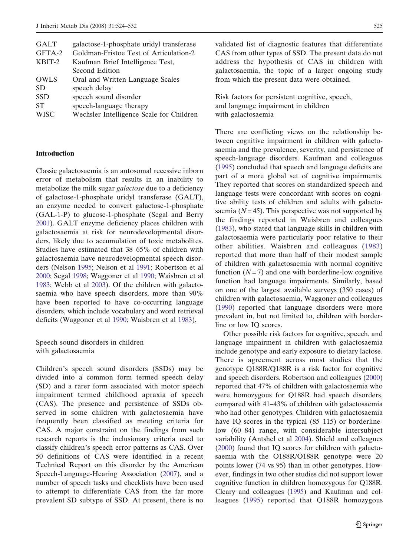| <b>GALT</b> | galactose-1-phosphate uridyl transferase |
|-------------|------------------------------------------|
| GFTA-2      | Goldman-Fristoe Test of Articulation-2   |
| KBIT-2      | Kaufman Brief Intelligence Test,         |
|             | Second Edition                           |
| <b>OWLS</b> | Oral and Written Language Scales         |
| <b>SD</b>   | speech delay                             |
| <b>SSD</b>  | speech sound disorder                    |
| <b>ST</b>   | speech-language therapy                  |
| <b>WISC</b> | Wechsler Intelligence Scale for Children |
|             |                                          |

## Introduction

Classic galactosaemia is an autosomal recessive inborn error of metabolism that results in an inability to metabolize the milk sugar *galactose* due to a deficiency of galactose-1-phosphate uridyl transferase (GALT), an enzyme needed to convert galactose-1-phosphate (GAL-1-P) to glucose-1-phosphate (Segal and Berry [2001\)](#page-8-0). GALT enzyme deficiency places children with galactosaemia at risk for neurodevelopmental disorders, likely due to accumulation of toxic metabolites. Studies have estimated that 38–65% of children with galactosaemia have neurodevelopmental speech disorders (Nelson [1995;](#page-8-0) Nelson et al [1991;](#page-8-0) Robertson et al [2000;](#page-8-0) Segal [1998](#page-8-0); Waggoner et al [1990](#page-8-0); Waisbren et al [1983;](#page-8-0) Webb et al [2003](#page-8-0)). Of the children with galactosaemia who have speech disorders, more than 90% have been reported to have co-occurring language disorders, which include vocabulary and word retrieval deficits (Waggoner et al [1990](#page-8-0); Waisbren et al [1983](#page-8-0)).

# Speech sound disorders in children with galactosaemia

Children's speech sound disorders (SSDs) may be divided into a common form termed speech delay (SD) and a rarer form associated with motor speech impairment termed childhood apraxia of speech (CAS). The presence and persistence of SSDs observed in some children with galactosaemia have frequently been classified as meeting criteria for CAS. A major constraint on the findings from such research reports is the inclusionary criteria used to classify children's speech error patterns as CAS. Over 50 definitions of CAS were identified in a recent Technical Report on this disorder by the American Speech-Language-Hearing Association ([2007\)](#page-8-0), and a number of speech tasks and checklists have been used to attempt to differentiate CAS from the far more prevalent SD subtype of SSD. At present, there is no

validated list of diagnostic features that differentiate CAS from other types of SSD. The present data do not address the hypothesis of CAS in children with galactosaemia, the topic of a larger ongoing study from which the present data were obtained.

Risk factors for persistent cognitive, speech, and language impairment in children with galactosaemia

There are conflicting views on the relationship between cognitive impairment in children with galactosaemia and the prevalence, severity, and persistence of speech-language disorders. Kaufman and colleagues ([1995\)](#page-8-0) concluded that speech and language deficits are part of a more global set of cognitive impairments. They reported that scores on standardized speech and language tests were concordant with scores on cognitive ability tests of children and adults with galactosaemia ( $N = 45$ ). This perspective was not supported by the findings reported in Waisbren and colleagues ([1983\)](#page-8-0), who stated that language skills in children with galactosaemia were particularly poor relative to their other abilities. Waisbren and colleagues ([1983](#page-8-0)) reported that more than half of their modest sample of children with galactosaemia with normal cognitive function  $(N=7)$  and one with borderline-low cognitive function had language impairments. Similarly, based on one of the largest available surveys (350 cases) of children with galactosaemia, Waggoner and colleagues ([1990\)](#page-8-0) reported that language disorders were more prevalent in, but not limited to, children with borderline or low IQ scores.

Other possible risk factors for cognitive, speech, and language impairment in children with galactosaemia include genotype and early exposure to dietary lactose. There is agreement across most studies that the genotype Q188R/Q188R is a risk factor for cognitive and speech disorders. Robertson and colleagues [\(2000](#page-8-0)) reported that 47% of children with galactosaemia who were homozygous for Q188R had speech disorders, compared with 41–43% of children with galactosaemia who had other genotypes. Children with galactosaemia have IQ scores in the typical  $(85-115)$  or borderlinelow (60–84) range, with considerable intersubject variability (Antshel et al [2004\)](#page-8-0). Shield and colleagues ([2000\)](#page-8-0) found that IQ scores for children with galactosaemia with the Q188R/Q188R genotype were 20 points lower (74 vs 95) than in other genotypes. However, findings in two other studies did not support lower cognitive function in children homozygous for Q188R. Cleary and colleagues [\(1995\)](#page-8-0) and Kaufman and colleagues ([1995](#page-8-0)) reported that Q188R homozygous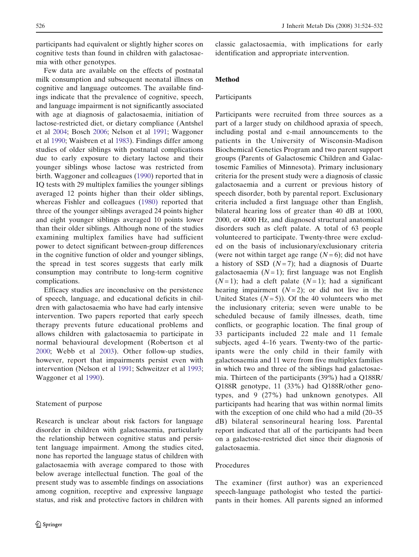participants had equivalent or slightly higher scores on cognitive tests than found in children with galactosaemia with other genotypes.

Few data are available on the effects of postnatal milk consumption and subsequent neonatal illness on cognitive and language outcomes. The available findings indicate that the prevalence of cognitive, speech, and language impairment is not significantly associated with age at diagnosis of galactosaemia, initiation of lactose-restricted diet, or dietary compliance (Antshel et al [2004](#page-8-0); Bosch [2006](#page-8-0); Nelson et al [1991;](#page-8-0) Waggoner et al [1990;](#page-8-0) Waisbren et al [1983](#page-8-0)). Findings differ among studies of older siblings with postnatal complications due to early exposure to dietary lactose and their younger siblings whose lactose was restricted from birth. Waggoner and colleagues ([1990](#page-8-0)) reported that in IQ tests with 29 multiplex families the younger siblings averaged 12 points higher than their older siblings, whereas Fishler and colleagues ([1980\)](#page-8-0) reported that three of the younger siblings averaged 24 points higher and eight younger siblings averaged 10 points lower than their older siblings. Although none of the studies examining multiplex families have had sufficient power to detect significant between-group differences in the cognitive function of older and younger siblings, the spread in test scores suggests that early milk consumption may contribute to long-term cognitive complications.

Efficacy studies are inconclusive on the persistence of speech, language, and educational deficits in children with galactosaemia who have had early intensive intervention. Two papers reported that early speech therapy prevents future educational problems and allows children with galactosaemia to participate in normal behavioural development (Robertson et al [2000](#page-8-0); Webb et al [2003](#page-8-0)). Other follow-up studies, however, report that impairments persist even with intervention (Nelson et al [1991;](#page-8-0) Schweitzer et al [1993;](#page-8-0) Waggoner et al [1990\)](#page-8-0).

#### Statement of purpose

Research is unclear about risk factors for language disorder in children with galactosaemia, particularly the relationship between cognitive status and persistent language impairment. Among the studies cited, none has reported the language status of children with galactosaemia with average compared to those with below average intellectual function. The goal of the present study was to assemble findings on associations among cognition, receptive and expressive language status, and risk and protective factors in children with classic galactosaemia, with implications for early identification and appropriate intervention.

# Method

## Participants

Participants were recruited from three sources as a part of a larger study on childhood apraxia of speech, including postal and e-mail announcements to the patients in the University of Wisconsin-Madison Biochemical Genetics Program and two parent support groups (Parents of Galactosemic Children and Galactosemic Families of Minnesota). Primary inclusionary criteria for the present study were a diagnosis of classic galactosaemia and a current or previous history of speech disorder, both by parental report. Exclusionary criteria included a first language other than English, bilateral hearing loss of greater than 40 dB at 1000, 2000, or 4000 Hz, and diagnosed structural anatomical disorders such as cleft palate. A total of 63 people volunteered to participate. Twenty-three were excluded on the basis of inclusionary/exclusionary criteria (were not within target age range  $(N=6)$ ; did not have a history of SSD  $(N=7)$ ; had a diagnosis of Duarte galactosaemia ( $N=1$ ); first language was not English  $(N=1)$ ; had a cleft palate  $(N=1)$ ; had a significant hearing impairment  $(N=2)$ ; or did not live in the United States  $(N=5)$ ). Of the 40 volunteers who met the inclusionary criteria; seven were unable to be scheduled because of family illnesses, death, time conflicts, or geographic location. The final group of 33 participants included 22 male and 11 female subjects, aged 4–16 years. Twenty-two of the participants were the only child in their family with galactosaemia and 11 were from five multiplex families in which two and three of the siblings had galactosaemia. Thirteen of the participants (39%) had a Q188R/ Q188R genotype, 11 (33%) had Q188R/other genotypes, and 9 (27%) had unknown genotypes. All participants had hearing that was within normal limits with the exception of one child who had a mild  $(20-35)$ dB) bilateral sensorineural hearing loss. Parental report indicated that all of the participants had been on a galactose-restricted diet since their diagnosis of galactosaemia.

#### Procedures

The examiner (first author) was an experienced speech-language pathologist who tested the participants in their homes. All parents signed an informed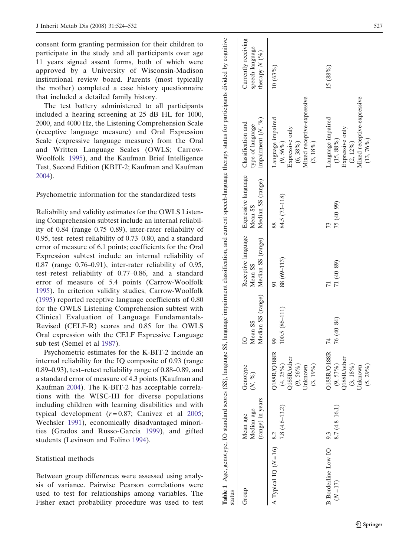<span id="page-3-0"></span>consent form granting permission for their children to participate in the study and all participants over age 11 years signed assent forms, both of which were approved by a University of Wisconsin-Madison institutional review board. Parents (most typically the mother) completed a case history questionnaire that included a detailed family history.

The test battery administered to all participants included a hearing screening at 25 dB HL for 1000, 2000, and 4000 Hz, the Listening Comprehension Scale (receptive language measure) and Oral Expression Scale (expressive language measure) from the Oral and Written Language Scales (OWLS; Carrow-Woolfolk [1995\)](#page-8-0), and the Kaufman Brief Intelligence Test, Second Edition (KBIT-2; Kaufman and Kaufman [2004\)](#page-8-0).

Psychometric information for the standardized tests

Reliability and validity estimates for the OWLS Listening Comprehension subtest include an internal reliability of 0.84 (range 0.75–0.89), inter-rater reliability of 0.95, test–retest reliability of 0.73–0.80, and a standard error of measure of 6.1 points; coefficients for the Oral Expression subtest include an internal reliability of 0.87 (range 0.76–0.91), inter-rater reliability of 0.95, test–retest reliability of 0.77–0.86, and a standard error of measure of 5.4 points (Carrow-Woolfolk [1995\)](#page-8-0). In criterion validity studies, Carrow-Woolfolk ([1995\)](#page-8-0) reported receptive language coefficients of 0.80 for the OWLS Listening Comprehension subtest with Clinical Evaluation of Language Fundamentals-Revised (CELF-R) scores and 0.85 for the OWLS Oral expression with the CELF Expressive Language sub test (Semel et al [1987](#page-8-0)).

Psychometric estimates for the K-BIT-2 include an internal reliability for the IQ composite of 0.93 (range 0.89–0.93), test–retest reliability range of 0.88–0.89, and a standard error of measure of 4.3 points (Kaufman and Kaufman [2004\)](#page-8-0). The K-BIT-2 has acceptable correlations with the WISC-III for diverse populations including children with learning disabilities and with typical development  $(r=0.87;$  Canivez et al [2005](#page-8-0); Wechsler [1991](#page-8-0)), economically disadvantaged minorities (Grados and Russo-Garcia [1999](#page-8-0)), and gifted students (Levinson and Folino [1994\)](#page-8-0).

## Statistical methods

Between group differences were assessed using analysis of variance. Pairwise Pearson correlations were used to test for relationships among variables. The Fisher exact probability procedure was used to test

| status                                |                                            |                                                                                    |                                         |                                         |                                                                                                      | Table 1 Age, genotype, IQ standard scores (SS), language SS, language impairment classification, and current speech-language therapy status for participants divided by cognitive |                                                           |
|---------------------------------------|--------------------------------------------|------------------------------------------------------------------------------------|-----------------------------------------|-----------------------------------------|------------------------------------------------------------------------------------------------------|-----------------------------------------------------------------------------------------------------------------------------------------------------------------------------------|-----------------------------------------------------------|
| Group                                 | (range) in years<br>Median age<br>Mean age | Genotype<br>$(N, \, \% )$                                                          | Median SS (range)<br>Mean <sub>SS</sub> | Median SS (range)<br>Mean <sub>SS</sub> | Receptive language Expressive language Classification and<br>Median SS (range)<br>Mean <sub>SS</sub> | impairment $(N, %)$<br>type of language                                                                                                                                           | Currently receiving<br>speech-language<br>therapy $N$ (%) |
| A Typical IQ $(N=16)$ 8.2             | $7.8(4.6-13.2)$                            | Q188R/Q188R<br>2188R/other<br>$(4, 25\%)$<br>$(3, 19\%)$<br>$(9, 56\%)$<br>Jnknown | 100.5 (86-111)<br>$^{99}$               | 88 (69-113)<br>5                        | 84.5 (73-118)<br>88                                                                                  | Mixed receptive-expressive<br>Language impaired<br>Expressive only<br>$(6, 38\%)$<br>$(9, 56\%)$<br>$(3, 18\%)$                                                                   | 10(63%)                                                   |
| B Borderline-Low IQ 9.3<br>$(N = 17)$ | $8.7(4.8 - 16.1)$                          | 2188R/Q188R<br>2188R/other<br>$(9, 53\%)$<br>$(3, 18\%)$<br>$(5, 29\%)$<br>Unknown | 76 (40-84)<br>74                        | $71(40-89)$<br>71                       | 75 (40-99)<br>73                                                                                     | Mixed receptive-expressive<br>Language impaired<br>Expressive only<br>$(15, 88\%)$<br>$(2, 12\%)$<br>$(13, 76\%)$                                                                 | 15 (88%)                                                  |
|                                       |                                            |                                                                                    |                                         |                                         |                                                                                                      |                                                                                                                                                                                   |                                                           |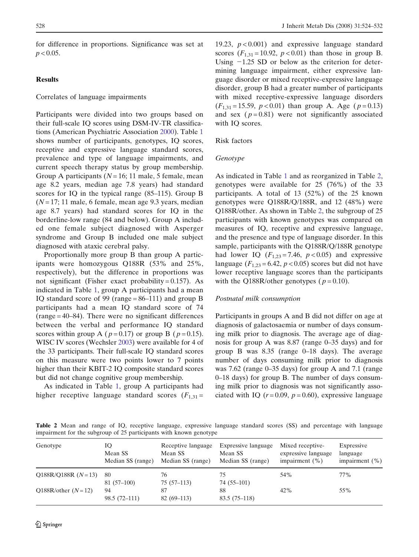for difference in proportions. Significance was set at  $p < 0.05$ .

#### **Results**

## Correlates of language impairments

Participants were divided into two groups based on their full-scale IQ scores using DSM-IV-TR classifications (American Psychiatric Association [2000\)](#page-8-0). Table [1](#page-3-0) shows number of participants, genotypes, IQ scores, receptive and expressive language standard scores, prevalence and type of language impairments, and current speech therapy status by group membership. Group A participants ( $N = 16$ ; 11 male, 5 female, mean age 8.2 years, median age 7.8 years) had standard scores for IQ in the typical range (85–115). Group B  $(N=17; 11$  male, 6 female, mean age 9.3 years, median age 8.7 years) had standard scores for IQ in the borderline-low range (84 and below). Group A included one female subject diagnosed with Asperger syndrome and Group B included one male subject diagnosed with ataxic cerebral palsy.

Proportionally more group B than group A participants were homozygous Q188R (53% and 25%, respectively), but the difference in proportions was not significant (Fisher exact probability =  $0.157$ ). As indicated in Table [1,](#page-3-0) group A participants had a mean IQ standard score of 99 (range = 86–111) and group B participants had a mean IQ standard score of 74 (range = 40–84). There were no significant differences between the verbal and performance IQ standard scores within group A ( $p = 0.17$ ) or group B ( $p = 0.15$ ). WISC IV scores (Wechsler [2003\)](#page-8-0) were available for 4 of the 33 participants. Their full-scale IQ standard scores on this measure were two points lower to 7 points higher than their KBIT-2 IQ composite standard scores but did not change cognitive group membership.

As indicated in Table [1](#page-3-0), group A participants had higher receptive language standard scores  $(F_{1,31} =$ 

19.23,  $p < 0.001$ ) and expressive language standard scores  $(F_{1,31} = 10.92, p < 0.01)$  than those in group B. Using  $-1.25$  SD or below as the criterion for determining language impairment, either expressive language disorder or mixed receptive-expressive language disorder, group B had a greater number of participants with mixed receptive-expressive language disorders  $(F_{1,31} = 15.59, p < 0.01)$  than group A. Age ( $p = 0.13$ ) and sex  $(p=0.81)$  were not significantly associated with IQ scores.

#### Risk factors

#### Genotype

As indicated in Table [1](#page-3-0) and as reorganized in Table 2, genotypes were available for 25 (76%) of the 33 participants. A total of 13 (52%) of the 25 known genotypes were Q188R/Q/188R, and 12 (48%) were Q188R/other. As shown in Table 2, the subgroup of 25 participants with known genotypes was compared on measures of IQ, receptive and expressive language, and the presence and type of language disorder. In this sample, participants with the Q188R/Q/188R genotype had lower IQ  $(F_{1,23} = 7.46, p < 0.05)$  and expressive language  $(F_{1,23} = 6.42, p < 0.05)$  scores but did not have lower receptive language scores than the participants with the Q188R/other genotypes ( $p = 0.10$ ).

## Postnatal milk consumption

Participants in groups A and B did not differ on age at diagnosis of galactosaemia or number of days consuming milk prior to diagnosis. The average age of diagnosis for group A was 8.87 (range 0–35 days) and for group B was 8.35 (range 0–18 days). The average number of days consuming milk prior to diagnosis was 7.62 (range 0–35 days) for group A and 7.1 (range 0–18 days) for group B. The number of days consuming milk prior to diagnosis was not significantly associated with IQ ( $r = 0.09$ ,  $p = 0.60$ ), expressive language

Table 2 Mean and range of IQ, receptive language, expressive language standard scores (SS) and percentage with language impairment for the subgroup of 25 participants with known genotype

| Genotype             | Ю<br>Mean SS<br>Median SS (range) | Receptive language<br>Mean SS<br>Median SS (range) | Expressive language<br>Mean SS<br>Median SS (range) | Mixed receptive-<br>expressive language<br>impairment $(\%)$ | Expressive<br>language<br>impairment $(\% )$ |
|----------------------|-----------------------------------|----------------------------------------------------|-----------------------------------------------------|--------------------------------------------------------------|----------------------------------------------|
| $O188R/O188R (N=13)$ | 80<br>$81(57-100)$                | 76<br>$75(57-113)$                                 | 75<br>$74(55-101)$                                  | 54%                                                          | $77\%$                                       |
| O188R/other $(N=12)$ | 94<br>$98.5(72-111)$              | 87<br>$82(69-113)$                                 | 88<br>$83.5(75-118)$                                | 42%                                                          | 55%                                          |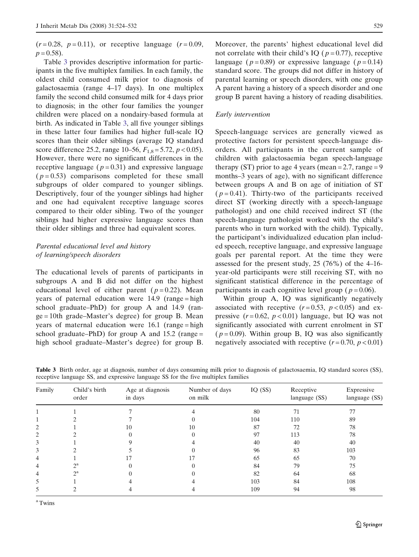$(r = 0.28, p = 0.11)$ , or receptive language  $(r = 0.09,$  $p = 0.58$ ).

Table 3 provides descriptive information for participants in the five multiplex families. In each family, the oldest child consumed milk prior to diagnosis of galactosaemia (range 4–17 days). In one multiplex family the second child consumed milk for 4 days prior to diagnosis; in the other four families the younger children were placed on a nondairy-based formula at birth. As indicated in Table 3, all five younger siblings in these latter four families had higher full-scale IQ scores than their older siblings (average IQ standard score difference 25.2, range 10–56,  $F_{1,8} = 5.72, p < 0.05$ ). However, there were no significant differences in the receptive language ( $p = 0.31$ ) and expressive language  $(p=0.53)$  comparisons completed for these small subgroups of older compared to younger siblings. Descriptively, four of the younger siblings had higher and one had equivalent receptive language scores compared to their older sibling. Two of the younger siblings had higher expressive language scores than their older siblings and three had equivalent scores.

# Parental educational level and history of learning/speech disorders

The educational levels of parents of participants in subgroups A and B did not differ on the highest educational level of either parent ( $p = 0.22$ ). Mean years of paternal education were 14.9 (range = high school graduate–PhD) for group A and 14.9 (ran $ge = 10$ th grade–Master's degree) for group B. Mean years of maternal education were 16.1 (range = high school graduate–PhD) for group A and  $15.2$  (range = high school graduate–Master's degree) for group B. Moreover, the parents' highest educational level did not correlate with their child's IQ ( $p = 0.77$ ), receptive language ( $p = 0.89$ ) or expressive language ( $p = 0.14$ ) standard score. The groups did not differ in history of parental learning or speech disorders, with one group A parent having a history of a speech disorder and one group B parent having a history of reading disabilities.

## Early intervention

Speech-language services are generally viewed as protective factors for persistent speech-language disorders. All participants in the current sample of children with galactosaemia began speech-language therapy (ST) prior to age 4 years (mean =  $2.7$ , range =  $9$ months–3 years of age), with no significant difference between groups A and B on age of initiation of ST  $(p=0.41)$ . Thirty-two of the participants received direct ST (working directly with a speech-language pathologist) and one child received indirect ST (the speech-language pathologist worked with the child's parents who in turn worked with the child). Typically, the participant's individualized education plan included speech, receptive language, and expressive language goals per parental report. At the time they were assessed for the present study, 25 (76%) of the 4–16 year-old participants were still receiving ST, with no significant statistical difference in the percentage of participants in each cognitive level group ( $p = 0.06$ ).

Within group A, IQ was significantly negatively associated with receptive  $(r=0.53, p<0.05)$  and expressive  $(r=0.62, p<0.01)$  language, but IQ was not significantly associated with current enrolment in ST  $(p=0.09)$ . Within group B, IQ was also significantly negatively associated with receptive  $(r=0.70, p<0.01)$ 

Table 3 Birth order, age at diagnosis, number of days consuming milk prior to diagnosis of galactosaemia, IQ standard scores (SS), receptive language SS, and expressive language SS for the five multiplex families

| Family         | Child's birth<br>order | Age at diagnosis<br>in days | Number of days<br>on milk | IQ (SS) | Receptive<br>language (SS) | Expressive<br>language (SS) |
|----------------|------------------------|-----------------------------|---------------------------|---------|----------------------------|-----------------------------|
|                |                        |                             |                           | 80      | 71                         | 77                          |
|                |                        |                             |                           | 104     | 110                        | 89                          |
| 2              |                        | 10                          | 10                        | 87      | 72                         | 78                          |
| $\overline{2}$ |                        |                             |                           | 97      | 113                        | 78                          |
| 3              |                        |                             |                           | 40      | 40                         | 40                          |
| 3              |                        |                             |                           | 96      | 83                         | 103                         |
| 4              |                        |                             |                           | 65      | 65                         | 70                          |
| 4              | $2^{\alpha}$           |                             |                           | 84      | 79                         | 75                          |
| 4              | $\gamma$ a             |                             |                           | 82      | 64                         | 68                          |
| 5              |                        |                             |                           | 103     | 84                         | 108                         |
| 5              |                        |                             |                           | 109     | 94                         | 98                          |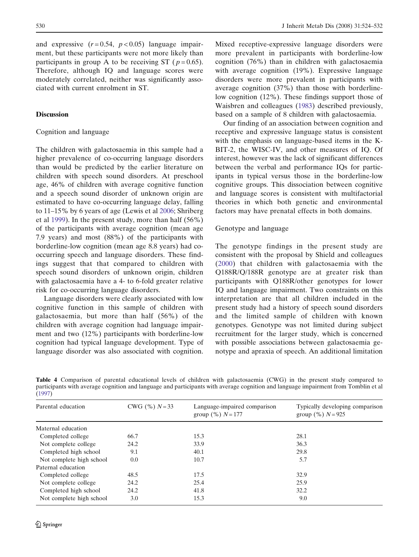<span id="page-6-0"></span>and expressive  $(r=0.54, p<0.05)$  language impairment, but these participants were not more likely than participants in group A to be receiving ST ( $p = 0.65$ ). Therefore, although IQ and language scores were moderately correlated, neither was significantly associated with current enrolment in ST.

## **Discussion**

### Cognition and language

The children with galactosaemia in this sample had a higher prevalence of co-occurring language disorders than would be predicted by the earlier literature on children with speech sound disorders. At preschool age, 46% of children with average cognitive function and a speech sound disorder of unknown origin are estimated to have co-occurring language delay, falling to 11–15% by 6 years of age (Lewis et al [2006](#page-8-0); Shriberg et al [1999\)](#page-8-0). In the present study, more than half (56%) of the participants with average cognition (mean age 7.9 years) and most (88%) of the participants with borderline-low cognition (mean age 8.8 years) had cooccurring speech and language disorders. These findings suggest that that compared to children with speech sound disorders of unknown origin, children with galactosaemia have a 4- to 6-fold greater relative risk for co-occurring language disorders.

Language disorders were clearly associated with low cognitive function in this sample of children with galactosaemia, but more than half (56%) of the children with average cognition had language impairment and two (12%) participants with borderline-low cognition had typical language development. Type of language disorder was also associated with cognition.

Mixed receptive-expressive language disorders were more prevalent in participants with borderline-low cognition (76%) than in children with galactosaemia with average cognition (19%). Expressive language disorders were more prevalent in participants with average cognition (37%) than those with borderlinelow cognition (12%). These findings support those of Waisbren and colleagues ([1983\)](#page-8-0) described previously, based on a sample of 8 children with galactosaemia.

Our finding of an association between cognition and receptive and expressive language status is consistent with the emphasis on language-based items in the K-BIT-2, the WISC-IV, and other measures of IQ. Of interest, however was the lack of significant differences between the verbal and performance IQs for participants in typical versus those in the borderline-low cognitive groups. This dissociation between cognitive and language scores is consistent with multifactorial theories in which both genetic and environmental factors may have prenatal effects in both domains.

#### Genotype and language

The genotype findings in the present study are consistent with the proposal by Shield and colleagues ([2000\)](#page-8-0) that children with galactosaemia with the Q188R/Q/188R genotype are at greater risk than participants with Q188R/other genotypes for lower IQ and language impairment. Two constraints on this interpretation are that all children included in the present study had a history of speech sound disorders and the limited sample of children with known genotypes. Genotype was not limited during subject recruitment for the larger study, which is concerned with possible associations between galactosaemia genotype and apraxia of speech. An additional limitation

Table 4 Comparison of parental educational levels of children with galactosaemia (CWG) in the present study compared to participants with average cognition and language and participants with average cognition and language impairment from Tomblin et al [\(1997](#page-8-0))

| Parental education       | CWG $(\%)$ N = 33 | Language-impaired comparison<br>group $(\%) N = 177$ | Typically developing comparison<br>group $(\%) N = 925$ |
|--------------------------|-------------------|------------------------------------------------------|---------------------------------------------------------|
| Maternal education       |                   |                                                      |                                                         |
| Completed college        | 66.7              | 15.3                                                 | 28.1                                                    |
| Not complete college     | 24.2              | 33.9                                                 | 36.3                                                    |
| Completed high school    | 9.1               | 40.1                                                 | 29.8                                                    |
| Not complete high school | 0.0               | 10.7                                                 | 5.7                                                     |
| Paternal education       |                   |                                                      |                                                         |
| Completed college        | 48.5              | 17.5                                                 | 32.9                                                    |
| Not complete college     | 24.2              | 25.4                                                 | 25.9                                                    |
| Completed high school    | 24.2              | 41.8                                                 | 32.2                                                    |
| Not complete high school | 3.0               | 15.3                                                 | 9.0                                                     |
|                          |                   |                                                      |                                                         |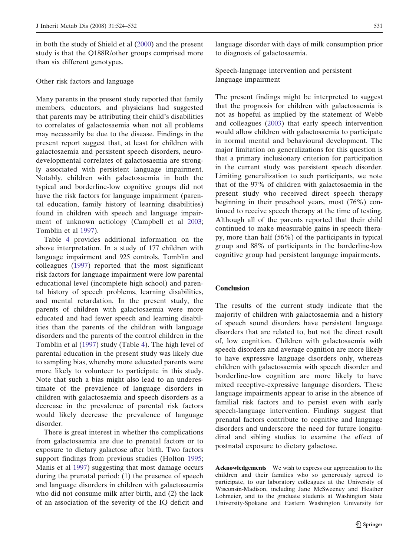in both the study of Shield et al ([2000\)](#page-8-0) and the present study is that the Q188R/other groups comprised more than six different genotypes.

#### Other risk factors and language

Many parents in the present study reported that family members, educators, and physicians had suggested that parents may be attributing their child's disabilities to correlates of galactosaemia when not all problems may necessarily be due to the disease. Findings in the present report suggest that, at least for children with galactosaemia and persistent speech disorders, neurodevelopmental correlates of galactosaemia are strongly associated with persistent language impairment. Notably, children with galactosaemia in both the typical and borderline-low cognitive groups did not have the risk factors for language impairment (parental education, family history of learning disabilities) found in children with speech and language impairment of unknown aetiology (Campbell et al [2003;](#page-8-0) Tomblin et al [1997](#page-8-0)).

Table [4](#page-6-0) provides additional information on the above interpretation. In a study of 177 children with language impairment and 925 controls, Tomblin and colleagues [\(1997](#page-8-0)) reported that the most significant risk factors for language impairment were low parental educational level (incomplete high school) and parental history of speech problems, learning disabilities, and mental retardation. In the present study, the parents of children with galactosaemia were more educated and had fewer speech and learning disabilities than the parents of the children with language disorders and the parents of the control children in the Tomblin et al ([1997\)](#page-8-0) study (Table [4\)](#page-6-0). The high level of parental education in the present study was likely due to sampling bias, whereby more educated parents were more likely to volunteer to participate in this study. Note that such a bias might also lead to an underestimate of the prevalence of language disorders in children with galactosaemia and speech disorders as a decrease in the prevalence of parental risk factors would likely decrease the prevalence of language disorder.

There is great interest in whether the complications from galactosaemia are due to prenatal factors or to exposure to dietary galactose after birth. Two factors support findings from previous studies (Holton [1995;](#page-8-0) Manis et al [1997\)](#page-8-0) suggesting that most damage occurs during the prenatal period: (1) the presence of speech and language disorders in children with galactosaemia who did not consume milk after birth, and (2) the lack of an association of the severity of the IQ deficit and

language disorder with days of milk consumption prior to diagnosis of galactosaemia.

Speech-language intervention and persistent language impairment

The present findings might be interpreted to suggest that the prognosis for children with galactosaemia is not as hopeful as implied by the statement of Webb and colleagues [\(2003](#page-8-0)) that early speech intervention would allow children with galactosaemia to participate in normal mental and behavioural development. The major limitation on generalizations for this question is that a primary inclusionary criterion for participation in the current study was persistent speech disorder. Limiting generalization to such participants, we note that of the 97% of children with galactosaemia in the present study who received direct speech therapy beginning in their preschool years, most (76%) continued to receive speech therapy at the time of testing. Although all of the parents reported that their child continued to make measurable gains in speech therapy, more than half (56%) of the participants in typical group and 88% of participants in the borderline-low cognitive group had persistent language impairments.

# Conclusion

The results of the current study indicate that the majority of children with galactosaemia and a history of speech sound disorders have persistent language disorders that are related to, but not the direct result of, low cognition. Children with galactosaemia with speech disorders and average cognition are more likely to have expressive language disorders only, whereas children with galactosaemia with speech disorder and borderline-low cognition are more likely to have mixed receptive-expressive language disorders. These language impairments appear to arise in the absence of familial risk factors and to persist even with early speech-language intervention. Findings suggest that prenatal factors contribute to cognitive and language disorders and underscore the need for future longitudinal and sibling studies to examine the effect of postnatal exposure to dietary galactose.

Acknowledgements We wish to express our appreciation to the children and their families who so generously agreed to participate, to our laboratory colleagues at the University of Wisconsin-Madison, including Jane McSweeney and Heather Lohmeier, and to the graduate students at Washington State University-Spokane and Eastern Washington University for